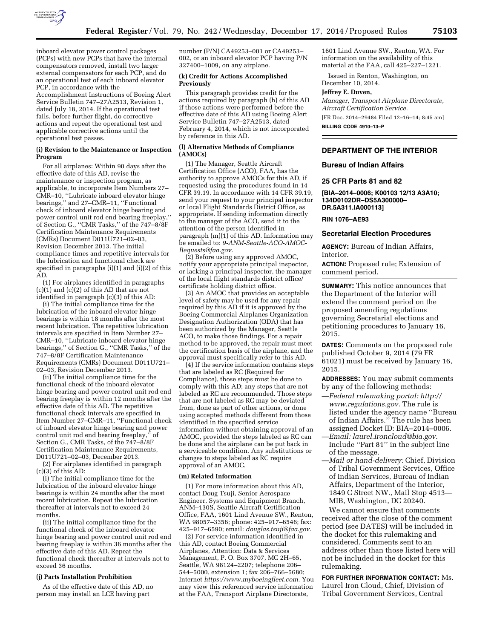

inboard elevator power control packages (PCPs) with new PCPs that have the internal compensators removed, install two larger external compensators for each PCP, and do an operational test of each inboard elevator PCP, in accordance with the Accomplishment Instructions of Boeing Alert Service Bulletin 747–27A2513, Revision 1, dated July 18, 2014. If the operational test fails, before further flight, do corrective actions and repeat the operational test and applicable corrective actions until the operational test passes.

### **(i) Revision to the Maintenance or Inspection Program**

For all airplanes: Within 90 days after the effective date of this AD, revise the maintenance or inspection program, as applicable, to incorporate Item Numbers 27– CMR–10, ''Lubricate inboard elevator hinge bearings,'' and 27–CMR–11, ''Functional check of inboard elevator hinge bearing and power control unit rod end bearing freeplay,'' of Section G., ''CMR Tasks,'' of the 747–8/8F Certification Maintenance Requirements (CMRs) Document D011U721–02–03, Revision December 2013. The initial compliance times and repetitive intervals for the lubrication and functional check are specified in paragraphs (i)(1) and (i)(2) of this AD.

(1) For airplanes identified in paragraphs  $(c)(1)$  and  $(c)(2)$  of this AD that are not identified in paragraph (c)(3) of this AD:

(i) The initial compliance time for the lubrication of the inboard elevator hinge bearings is within 18 months after the most recent lubrication. The repetitive lubrication intervals are specified in Item Number 27– CMR–10, ''Lubricate inboard elevator hinge bearings,'' of Section G., ''CMR Tasks,'' of the 747–8/8F Certification Maintenance Requirements (CMRs) Document D011U721– 02–03, Revision December 2013.

(ii) The initial compliance time for the functional check of the inboard elevator hinge bearing and power control unit rod end bearing freeplay is within 12 months after the effective date of this AD. The repetitive functional check intervals are specified in Item Number 27–CMR–11, ''Functional check of inboard elevator hinge bearing and power control unit rod end bearing freeplay,'' of Section G., CMR Tasks, of the 747–8/8F Certification Maintenance Requirements, D011U721–02–03, December 2013.

(2) For airplanes identified in paragraph  $(c)(3)$  of this AD:

(i) The initial compliance time for the lubrication of the inboard elevator hinge bearings is within 24 months after the most recent lubrication. Repeat the lubrication thereafter at intervals not to exceed 24 months.

(ii) The initial compliance time for the functional check of the inboard elevator hinge bearing and power control unit rod end bearing freeplay is within 36 months after the effective date of this AD. Repeat the functional check thereafter at intervals not to exceed 36 months.

#### **(j) Parts Installation Prohibition**

As of the effective date of this AD, no person may install an LCE having part

number (P/N) CA49253–001 or CA49253– 002, or an inboard elevator PCP having P/N 327400–1009, on any airplane.

#### **(k) Credit for Actions Accomplished Previously**

This paragraph provides credit for the actions required by paragraph (h) of this AD if those actions were performed before the effective date of this AD using Boeing Alert Service Bulletin 747–27A2513, dated February 4, 2014, which is not incorporated by reference in this AD.

## **(l) Alternative Methods of Compliance (AMOCs)**

(1) The Manager, Seattle Aircraft Certification Office (ACO), FAA, has the authority to approve AMOCs for this AD, if requested using the procedures found in 14 CFR 39.19. In accordance with 14 CFR 39.19, send your request to your principal inspector or local Flight Standards District Office, as appropriate. If sending information directly to the manager of the ACO, send it to the attention of the person identified in paragraph (m)(1) of this AD. Information may be emailed to: *[9-ANM-Seattle-ACO-AMOC-](mailto:9-ANM-Seattle-ACO-AMOC-Requests@faa.gov)[Requests@faa.gov.](mailto:9-ANM-Seattle-ACO-AMOC-Requests@faa.gov)* 

(2) Before using any approved AMOC, notify your appropriate principal inspector, or lacking a principal inspector, the manager of the local flight standards district office/ certificate holding district office.

(3) An AMOC that provides an acceptable level of safety may be used for any repair required by this AD if it is approved by the Boeing Commercial Airplanes Organization Designation Authorization (ODA) that has been authorized by the Manager, Seattle ACO, to make those findings. For a repair method to be approved, the repair must meet the certification basis of the airplane, and the approval must specifically refer to this AD.

(4) If the service information contains steps that are labeled as RC (Required for Compliance), those steps must be done to comply with this AD; any steps that are not labeled as RC are recommended. Those steps that are not labeled as RC may be deviated from, done as part of other actions, or done using accepted methods different from those identified in the specified service information without obtaining approval of an AMOC, provided the steps labeled as RC can be done and the airplane can be put back in a serviceable condition. Any substitutions or changes to steps labeled as RC require approval of an AMOC.

#### **(m) Related Information**

(1) For more information about this AD, contact Doug Tsuji, Senior Aerospace Engineer, Systems and Equipment Branch, ANM–130S, Seattle Aircraft Certification Office, FAA, 1601 Lind Avenue SW., Renton, WA 98057–3356; phone: 425–917–6546; fax: 425–917–6590; email: *[douglas.tsuji@faa.gov.](mailto:douglas.tsuji@faa.gov)* 

(2) For service information identified in this AD, contact Boeing Commercial Airplanes, Attention: Data & Services Management, P. O. Box 3707, MC 2H–65, Seattle, WA 98124–2207; telephone 206– 544–5000, extension 1; fax 206–766–5680; Internet *[https://www.myboeingfleet.com.](https://www.myboeingfleet.com)* You may view this referenced service information at the FAA, Transport Airplane Directorate,

1601 Lind Avenue SW., Renton, WA. For information on the availability of this material at the FAA, call 425–227–1221.

Issued in Renton, Washington, on December 10, 2014.

## **Jeffrey E. Duven,**

*Manager, Transport Airplane Directorate, Aircraft Certification Service.* 

[FR Doc. 2014–29484 Filed 12–16–14; 8:45 am]

**BILLING CODE 4910–13–P** 

# **DEPARTMENT OF THE INTERIOR**

**Bureau of Indian Affairs** 

## **25 CFR Parts 81 and 82**

**[BIA–2014–0006; K00103 12/13 A3A10; 134D0102DR–DS5A300000– DR.5A311.IA000113]** 

## **RIN 1076–AE93**

#### **Secretarial Election Procedures**

**AGENCY:** Bureau of Indian Affairs, Interior.

**ACTION:** Proposed rule; Extension of comment period.

**SUMMARY:** This notice announces that the Department of the Interior will extend the comment period on the proposed amending regulations governing Secretarial elections and petitioning procedures to January 16, 2015.

**DATES:** Comments on the proposed rule published October 9, 2014 (79 FR 61021) must be received by January 16, 2015.

**ADDRESSES:** You may submit comments by any of the following methods:

- —*Federal rulemaking portal: [http://](http://www.regulations.gov) [www.regulations.gov.](http://www.regulations.gov)* The rule is listed under the agency name ''Bureau of Indian Affairs.'' The rule has been assigned Docket ID: BIA–2014–0006. —*Email: [laurel.ironcloud@bia.gov.](mailto:laurel.ironcloud@bia.gov)*
- Include ''Part 81'' in the subject line of the message.
- —*Mail or hand-delivery:* Chief, Division of Tribal Government Services, Office of Indian Services, Bureau of Indian Affairs, Department of the Interior, 1849 C Street NW., Mail Stop 4513— MIB, Washington, DC 20240.

We cannot ensure that comments received after the close of the comment period (see DATES) will be included in the docket for this rulemaking and considered. Comments sent to an address other than those listed here will not be included in the docket for this rulemaking.

**FOR FURTHER INFORMATION CONTACT:** Ms. Laurel Iron Cloud, Chief, Division of Tribal Government Services, Central